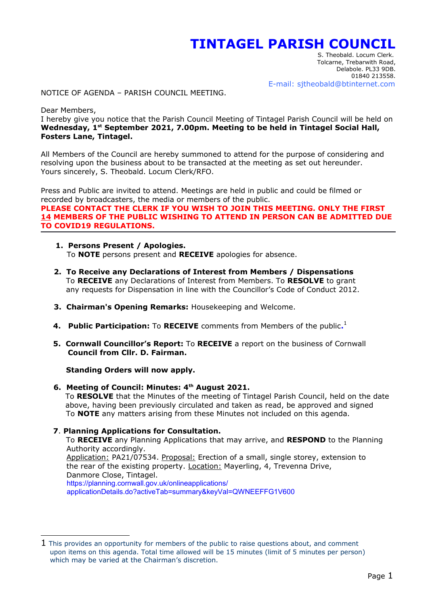## **TINTAGEL PARISH COUNCIL**

 S. Theobald. Locum Clerk. Tolcarne, Trebarwith Road, Delabole. PL33 9DB. 01840 213558. E-mail: sjtheobald@btinternet.com

NOTICE OF AGENDA – PARISH COUNCIL MEETING.

Dear Members,

I hereby give you notice that the Parish Council Meeting of Tintagel Parish Council will be held on **Wednesday, 1st September 2021, 7.00pm. Meeting to be held in Tintagel Social Hall, Fosters Lane, Tintagel.**

All Members of the Council are hereby summoned to attend for the purpose of considering and resolving upon the business about to be transacted at the meeting as set out hereunder. Yours sincerely, S. Theobald. Locum Clerk/RFO.

Press and Public are invited to attend. Meetings are held in public and could be filmed or recorded by broadcasters, the media or members of the public. **PLEASE CONTACT THE CLERK IF YOU WISH TO JOIN THIS MEETING. ONLY THE FIRST 14 MEMBERS OF THE PUBLIC WISHING TO ATTEND IN PERSON CAN BE ADMITTED DUE TO COVID19 REGULATIONS.** 

- **1. Persons Present / Apologies.** To **NOTE** persons present and **RECEIVE** apologies for absence.
- **2. To Receive any Declarations of Interest from Members / Dispensations** To **RECEIVE** any Declarations of Interest from Members. To **RESOLVE** to grant any requests for Dispensation in line with the Councillor's Code of Conduct 2012.
- **3. Chairman's Opening Remarks:** Housekeeping and Welcome.
- **4. Public Participation:** To **RECEIVE** comments from Members of the public.<sup>[1](#page-0-0)</sup>
	- **5. Cornwall Councillor's Report:** To **RECEIVE** a report on the business of Cornwall  **Council from Cllr. D. Fairman.**

**Standing Orders will now apply.**

 **6. Meeting of Council: Minutes: 4th August 2021.** To **RESOLVE** that the Minutes of the meeting of Tintagel Parish Council, held on the date above, having been previously circulated and taken as read, be approved and signed To **NOTE** any matters arising from these Minutes not included on this agenda.

## **7**. **Planning Applications for Consultation.**

To **RECEIVE** any Planning Applications that may arrive, and **RESPOND** to the Planning Authority accordingly. Application: PA21/07534. Proposal: Erection of a small, single storey, extension to the rear of the existing property. Location: Mayerling, 4, Trevenna Drive, Danmore Close, Tintagel. https://planning.cornwall.gov.uk/onlineapplications/ applicationDetails.do?activeTab=summary&keyVal=QWNEEFFG1V600

<span id="page-0-0"></span> $1$  This provides an opportunity for members of the public to raise questions about, and comment upon items on this agenda. Total time allowed will be 15 minutes (limit of 5 minutes per person) which may be varied at the Chairman's discretion.